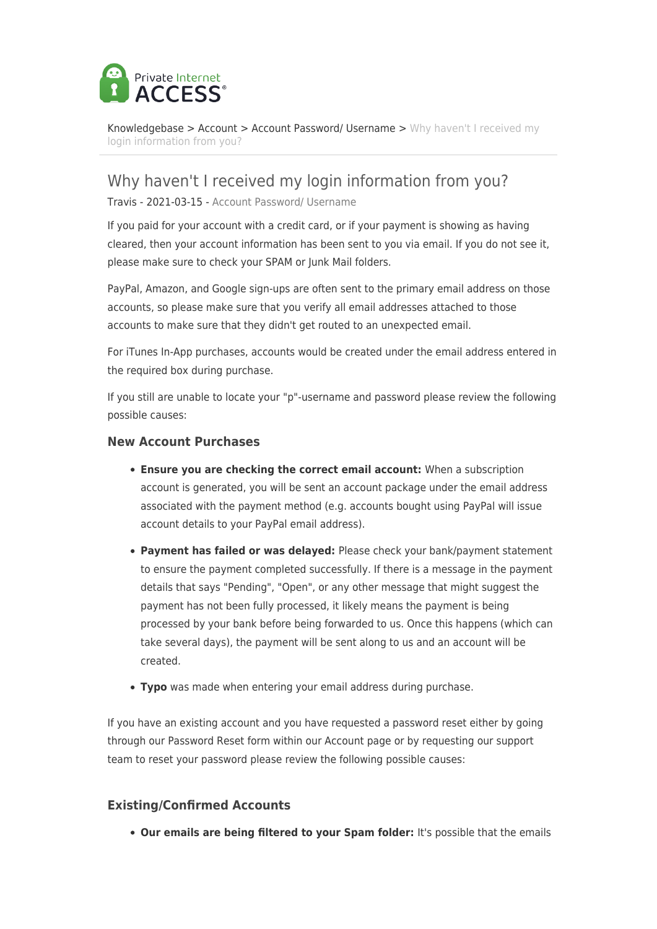

[Knowledgebase](https://helpdesk.privateinternetaccess.com/kb) > [Account](https://helpdesk.privateinternetaccess.com/kb/account) > [Account Password/ Username](https://helpdesk.privateinternetaccess.com/kb/account-password-username) > [Why haven't I received my](https://helpdesk.privateinternetaccess.com/kb/articles/why-haven-t-i-received-my-login-information-from-you) [login information from you?](https://helpdesk.privateinternetaccess.com/kb/articles/why-haven-t-i-received-my-login-information-from-you)

## Why haven't I received my login information from you?

Travis - 2021-03-15 - [Account Password/ Username](https://helpdesk.privateinternetaccess.com/kb/account-password-username)

If you paid for your account with a credit card, or if your payment is showing as having cleared, then your account information has been sent to you via email. If you do not see it, please make sure to check your SPAM or Junk Mail folders.

PayPal, Amazon, and Google sign-ups are often sent to the primary email address on those accounts, so please make sure that you verify all email addresses attached to those accounts to make sure that they didn't get routed to an unexpected email.

For iTunes In-App purchases, accounts would be created under the email address entered in the required box during purchase.

If you still are unable to locate your "p"-username and password please review the following possible causes:

## **New Account Purchases**

- **Ensure you are checking the correct email account:** When a subscription account is generated, you will be sent an account package under the email address associated with the payment method (e.g. accounts bought using PayPal will issue account details to your PayPal email address).
- **Payment has failed or was delayed:** Please check your bank/payment statement to ensure the payment completed successfully. If there is a message in the payment details that says "Pending", "Open", or any other message that might suggest the payment has not been fully processed, it likely means the payment is being processed by your bank before being forwarded to us. Once this happens (which can take several days), the payment will be sent along to us and an account will be created.
- **Typo** was made when entering your email address during purchase.

If you have an existing account and you have requested a password reset either by going through our Password Reset form within our Account page or by requesting our support team to reset your password please review the following possible causes:

## **Existing/Confirmed Accounts**

**Our emails are being filtered to your Spam folder:** It's possible that the emails